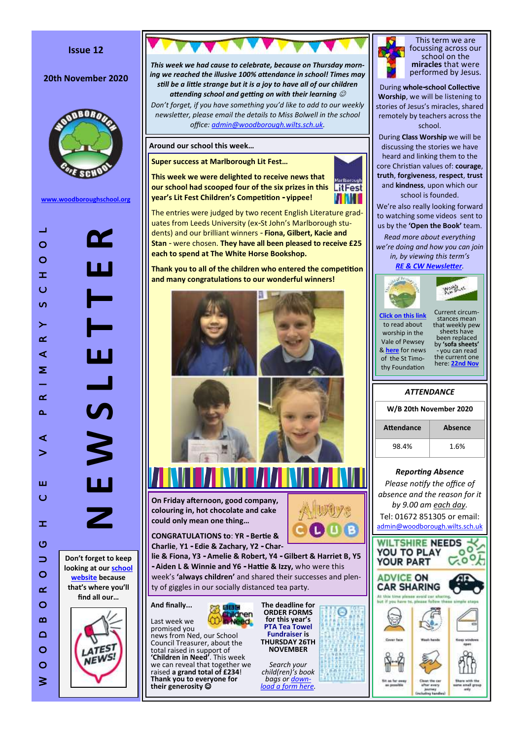# **Issue 12**

# **20th November 2020**



**[www.woodboroughschool.org](https://woodboroughschool.org/)**





*This week we had cause to celebrate, because on Thursday morn-*

**On Friday afternoon, good company,** 

**colouring in, hot chocolate and cake could only mean one thing …**

**CONGRATULATIONS to**: **YR - Bertie & Charlie**, **Y1 - Edie & Zachary, Y2 - Char-**

**lie & Fiona, Y3 - Amelie & Robert, Y4 - Gilbert & Harriet B, Y5 - Aiden L & Winnie and Y6 - Hattie & Izzy,** who were this week 's **'always children'** and shared their successes and plenty of giggles in our socially distanced tea party.

**And finally...** Last week we

promised you news from Ned, our School Council Treasurer, about the<br>total raised in support of total raised in support of **'Children in Need'**. This week we can reveal that together we raised **a grand total of £234**! **Thank you to everyone for their generosity** 

**The deadline for ORDER FORMS for this year 's PTA Tea Towel Fundraiser is THURSDAY 26TH NOVEMBER**

L)

⊝

*Search your child(ren) 's book bags or [down](https://woodboroughschool.org/wp-content/uploads/2020/11/20201120140218531.pdf)[load a form here](https://woodboroughschool.org/wp-content/uploads/2020/11/20201120140218531.pdf) .*



This term we are focussing across our school on the **miracles** that were performed by Jesus.

During **whole -school Collective Worship**, we will be listening to stories of Jesus 's miracles, shared remotely by teachers across the school.

During **Class Worship** we will be discussing the stories we have heard and linking them to the core Christian values of: **courage**, **truth**, **forgiveness**, **respect**, **trust** and **kindness**, upon which our school is founded.

We 're also really looking forward to watching some videos sent to us by the **'Open the Book'** team. *Read more about everything we 're doing and how you can join in, by viewing this term 's* 

*[RE & CW Newsletter](https://woodboroughschool.org/wp-content/uploads/2020/09/RE-NEWSLETTER-Autumn-1-2020-Parables.pdf) .*



to read about worship in the

of the St Timo-

**[Click on this link](https://www.valeofpewsey.org/)** Vale of Pewsey & **[here](https://woodboroughschool.org/wp-content/uploads/2020/11/St-Timothy-Foundation-News.docx.pdf)** for news thy Foundation Current circumstances mean that weekly pew sheets have been replaced by **'sofa sheets'**  - you can read the current one here: **[22nd Nov](https://woodboroughschool.org/wp-content/uploads/2020/11/22nd-November.pdf)**

**World** us

| <i><b>ATTENDANCE</b></i> |                |  |  |  |
|--------------------------|----------------|--|--|--|
| W/B 20th November 2020   |                |  |  |  |
| Attendance               | <b>Absence</b> |  |  |  |
| 98.4%                    | 1.6%           |  |  |  |
|                          |                |  |  |  |